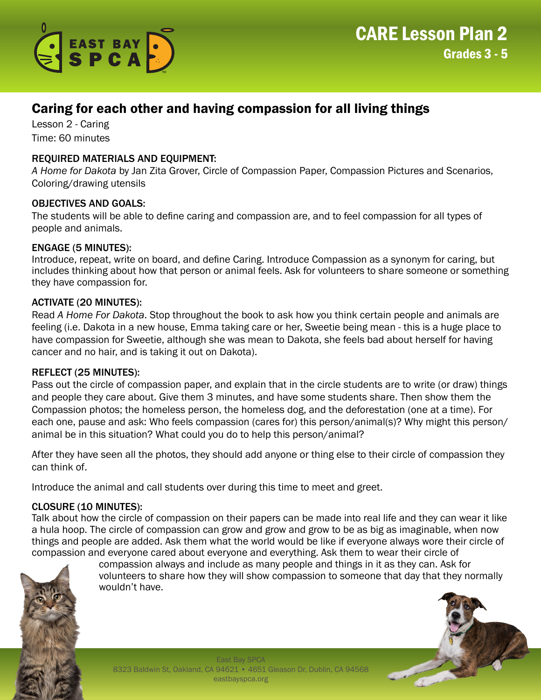

# Caring for each other and having compassion for all living things

Lesson 2 - Caring Time: 60 minutes

## REQUIRED MATERIALS AND EQUIPMENT:

*A Home for Dakota* by Jan Zita Grover, Circle of Compassion Paper, Compassion Pictures and Scenarios, Coloring/drawing utensils

### OBJECTIVES AND GOALS:

The students will be able to define caring and compassion are, and to feel compassion for all types of people and animals.

### ENGAGE (5 MINUTES):

Introduce, repeat, write on board, and define Caring. Introduce Compassion as a synonym for caring, but includes thinking about how that person or animal feels. Ask for volunteers to share someone or something they have compassion for.

### ACTIVATE (20 MINUTES):

Read *A Home For Dakota*. Stop throughout the book to ask how you think certain people and animals are feeling (i.e. Dakota in a new house, Emma taking care or her, Sweetie being mean - this is a huge place to have compassion for Sweetie, although she was mean to Dakota, she feels bad about herself for having cancer and no hair, and is taking it out on Dakota).

#### REFLECT (25 MINUTES):

Pass out the circle of compassion paper, and explain that in the circle students are to write (or draw) things and people they care about. Give them 3 minutes, and have some students share. Then show them the Compassion photos; the homeless person, the homeless dog, and the deforestation (one at a time). For each one, pause and ask: Who feels compassion (cares for) this person/animal(s)? Why might this person/ animal be in this situation? What could you do to help this person/animal?

After they have seen all the photos, they should add anyone or thing else to their circle of compassion they can think of.

Introduce the animal and call students over during this time to meet and greet.

## CLOSURE (10 MINUTES):

Talk about how the circle of compassion on their papers can be made into real life and they can wear it like a hula hoop. The circle of compassion can grow and grow and grow to be as big as imaginable, when now things and people are added. Ask them what the world would be like if everyone always wore their circle of compassion and everyone cared about everyone and everything. Ask them to wear their circle of



compassion always and include as many people and things in it as they can. Ask for volunteers to share how they will show compassion to someone that day that they normally wouldn't have.